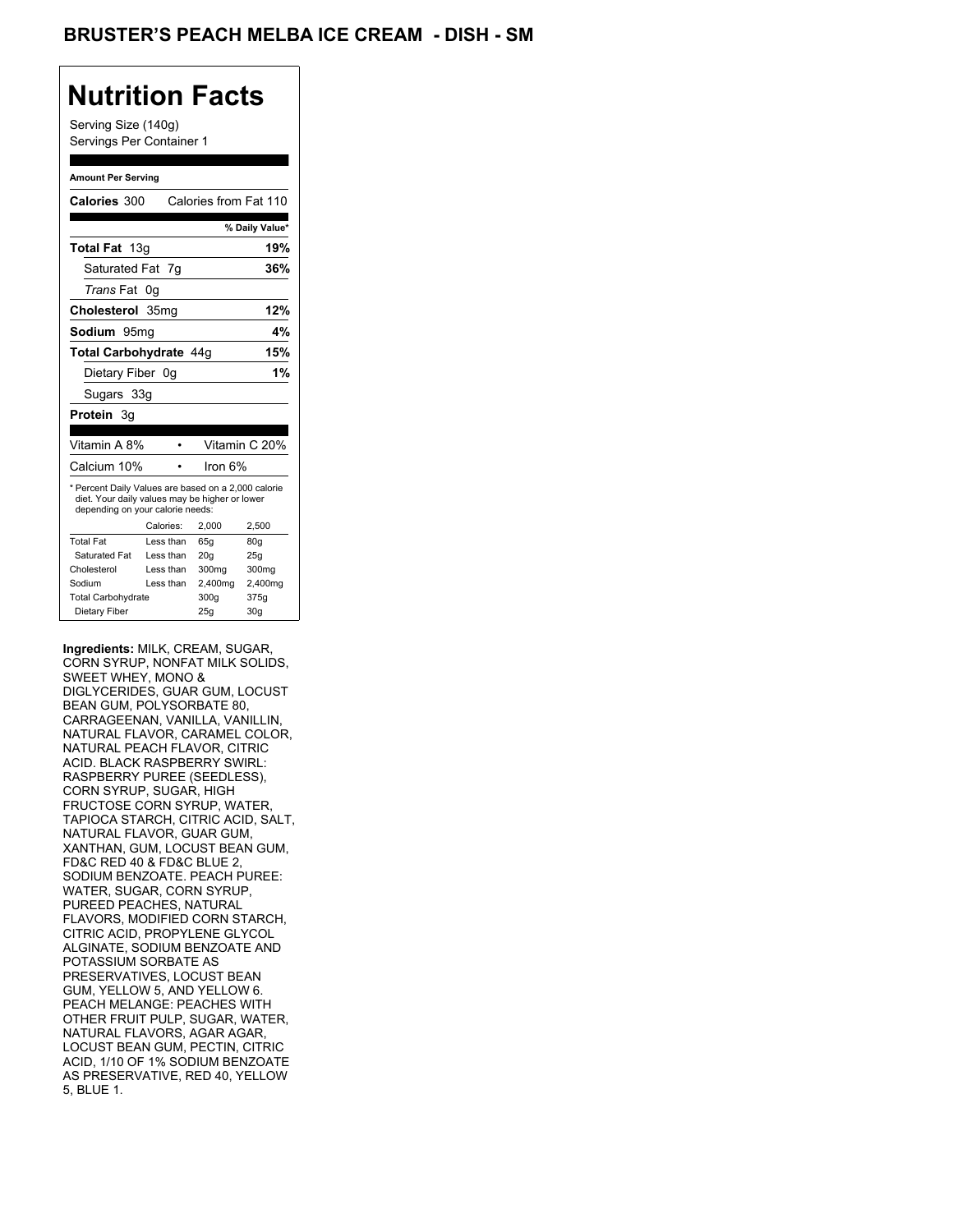## **Nutrition Facts**

Serving Size (140g) Servings Per Container 1

#### **Amount Per Serving**

| Calories 300                                                                                                                              |           |           | Calories from Fat 110 |                 |
|-------------------------------------------------------------------------------------------------------------------------------------------|-----------|-----------|-----------------------|-----------------|
|                                                                                                                                           |           |           |                       | % Daily Value*  |
| Total Fat 13g                                                                                                                             |           |           |                       | 19%             |
| Saturated Fat 7g                                                                                                                          |           |           |                       | 36%             |
| <i>Trans</i> Fat                                                                                                                          | 0g        |           |                       |                 |
| Cholesterol 35mg                                                                                                                          |           |           |                       | 12%             |
| Sodium 95mq                                                                                                                               |           |           |                       | 4%              |
| <b>Total Carbohydrate 44g</b>                                                                                                             |           |           |                       | 15%             |
| Dietary Fiber 0q                                                                                                                          |           |           |                       | 1%              |
| Sugars 33g                                                                                                                                |           |           |                       |                 |
| Protein 3q                                                                                                                                |           |           |                       |                 |
|                                                                                                                                           |           |           |                       |                 |
| Vitamin A 8%                                                                                                                              |           |           |                       | Vitamin C 20%   |
| Calcium 10%                                                                                                                               |           |           | Iron 6%               |                 |
| * Percent Daily Values are based on a 2,000 calorie<br>diet. Your daily values may be higher or lower<br>depending on your calorie needs: | Calories: |           | 2,000                 | 2,500           |
| <b>Total Fat</b>                                                                                                                          |           | Less than |                       |                 |
| Saturated Fat                                                                                                                             |           |           | 65g                   | 80 <sub>g</sub> |
|                                                                                                                                           |           | Less than | 20 <sub>g</sub>       | 25g             |
| Cholesterol                                                                                                                               |           | Less than | 300mg                 | 300mg           |
| Sodium                                                                                                                                    |           | Less than | 2,400mg               | 2,400mg         |
| <b>Total Carbohydrate</b>                                                                                                                 |           |           | 300g                  | 375g            |
| Dietary Fiber                                                                                                                             |           |           | 25q                   | 30 <sub>q</sub> |

**Ingredients:** MILK, CREAM, SUGAR, CORN SYRUP, NONFAT MILK SOLIDS, SWEET WHEY, MONO & DIGLYCERIDES, GUAR GUM, LOCUST BEAN GUM, POLYSORBATE 80, CARRAGEENAN, VANILLA, VANILLIN, NATURAL FLAVOR, CARAMEL COLOR, NATURAL PEACH FLAVOR, CITRIC ACID. BLACK RASPBERRY SWIRL: RASPBERRY PUREE (SEEDLESS), CORN SYRUP, SUGAR, HIGH FRUCTOSE CORN SYRUP, WATER, TAPIOCA STARCH, CITRIC ACID, SALT, NATURAL FLAVOR, GUAR GUM, XANTHAN, GUM, LOCUST BEAN GUM, FD&C RED 40 & FD&C BLUE 2, SODIUM BENZOATE. PEACH PUREE: WATER, SUGAR, CORN SYRUP, PUREED PEACHES, NATURAL FLAVORS, MODIFIED CORN STARCH, CITRIC ACID, PROPYLENE GLYCOL ALGINATE, SODIUM BENZOATE AND POTASSIUM SORBATE AS PRESERVATIVES, LOCUST BEAN GUM, YELLOW 5, AND YELLOW 6. PEACH MELANGE: PEACHES WITH OTHER FRUIT PULP, SUGAR, WATER, NATURAL FLAVORS, AGAR AGAR, LOCUST BEAN GUM, PECTIN, CITRIC ACID, 1/10 OF 1% SODIUM BENZOATE AS PRESERVATIVE, RED 40, YELLOW 5, BLUE 1.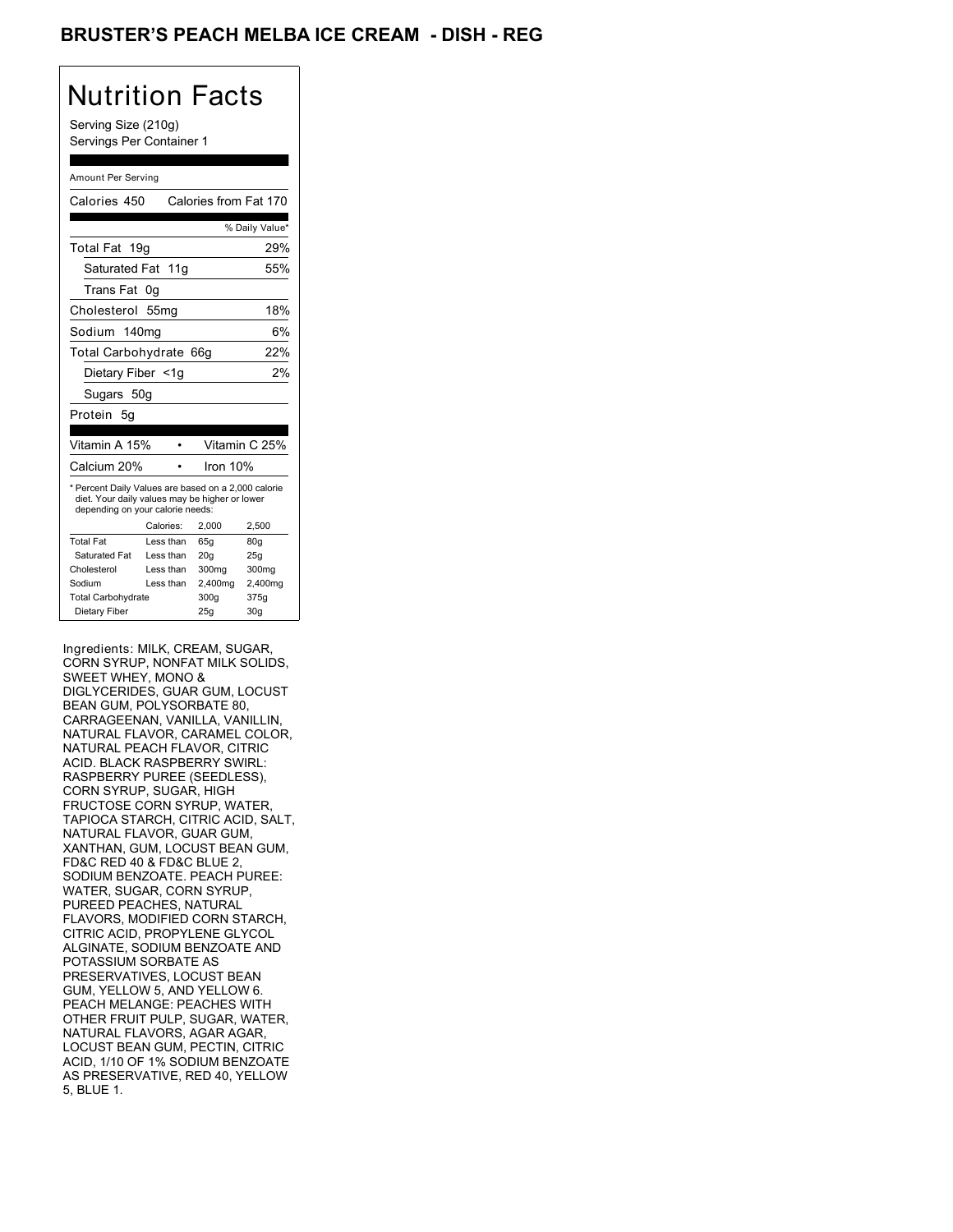#### BRUSTER'S PEACH MELBA ICE CREAM - DISH - REG

# Nutrition Facts

Serving Size (210g) Servings Per Container 1

#### Amount Per Serving

| Calories 450                                                                                                                              |           | Calories from Fat 170 |                 |
|-------------------------------------------------------------------------------------------------------------------------------------------|-----------|-----------------------|-----------------|
|                                                                                                                                           |           |                       | % Daily Value*  |
| <b>Total Fat</b><br>19 <sub>q</sub>                                                                                                       |           |                       | 29%             |
| Saturated Fat 11g                                                                                                                         |           |                       | 55%             |
| Trans Fat                                                                                                                                 | 0g        |                       |                 |
| Cholesterol 55mg                                                                                                                          |           |                       | 18%             |
| Sodium 140mg                                                                                                                              |           |                       | 6%              |
| Total Carbohydrate 66g                                                                                                                    |           |                       | 22%             |
| Dietary Fiber <1g                                                                                                                         |           |                       | 2%              |
| Sugars 50g                                                                                                                                |           |                       |                 |
| Protein 5g                                                                                                                                |           |                       |                 |
|                                                                                                                                           |           |                       |                 |
| Vitamin A 15%                                                                                                                             |           |                       | Vitamin C 25%   |
| Calcium 20%                                                                                                                               |           | Iron 10%              |                 |
| * Percent Daily Values are based on a 2,000 calorie<br>diet. Your daily values may be higher or lower<br>depending on your calorie needs: |           |                       |                 |
|                                                                                                                                           | Calories: | 2,000                 | 2,500           |
| <b>Total Fat</b>                                                                                                                          | Less than | 65q                   | 80g             |
| Saturated Fat                                                                                                                             | Less than | 20 <sub>g</sub>       | 25g             |
| Cholesterol                                                                                                                               | Less than | 300mg                 | 300mg           |
| Sodium                                                                                                                                    | Less than | 2,400mg               | 2,400mg         |
| <b>Total Carbohydrate</b>                                                                                                                 |           | 300g                  | 375g            |
| Dietary Fiber                                                                                                                             |           | 25q                   | 30 <sub>g</sub> |

Ingredients: MILK, CREAM, SUGAR, CORN SYRUP, NONFAT MILK SOLIDS, SWEET WHEY, MONO & DIGLYCERIDES, GUAR GUM, LOCUST BEAN GUM, POLYSORBATE 80, CARRAGEENAN, VANILLA, VANILLIN, NATURAL FLAVOR, CARAMEL COLOR, NATURAL PEACH FLAVOR, CITRIC ACID. BLACK RASPBERRY SWIRL: RASPBERRY PUREE (SEEDLESS), CORN SYRUP, SUGAR, HIGH FRUCTOSE CORN SYRUP, WATER, TAPIOCA STARCH, CITRIC ACID, SALT, NATURAL FLAVOR, GUAR GUM, XANTHAN, GUM, LOCUST BEAN GUM, FD&C RED 40 & FD&C BLUE 2, SODIUM BENZOATE. PEACH PUREE: WATER, SUGAR, CORN SYRUP, PUREED PEACHES, NATURAL FLAVORS, MODIFIED CORN STARCH, CITRIC ACID, PROPYLENE GLYCOL ALGINATE, SODIUM BENZOATE AND POTASSIUM SORBATE AS PRESERVATIVES, LOCUST BEAN GUM, YELLOW 5, AND YELLOW 6. PEACH MELANGE: PEACHES WITH OTHER FRUIT PULP, SUGAR, WATER, NATURAL FLAVORS, AGAR AGAR, LOCUST BEAN GUM, PECTIN, CITRIC ACID, 1/10 OF 1% SODIUM BENZOATE AS PRESERVATIVE, RED 40, YELLOW 5, BLUE 1.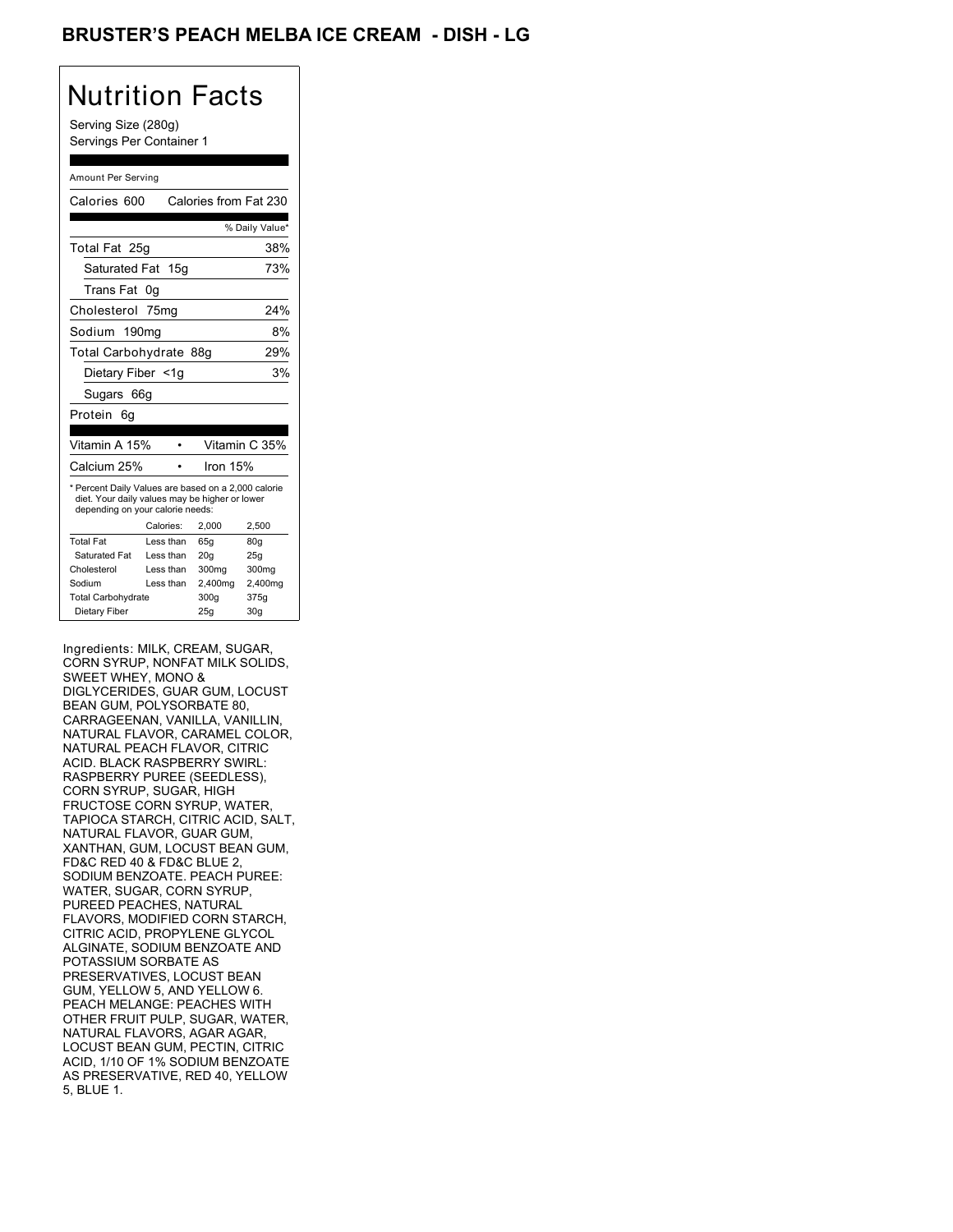#### BRUSTER'S PEACH MELBA ICE CREAM - DISH - LG

# Nutrition Facts

Serving Size (280g) Servings Per Container 1

#### Amount Per Serving

| Calories 600                                                                                                                              |                        | Calories from Fat 230 |                 |
|-------------------------------------------------------------------------------------------------------------------------------------------|------------------------|-----------------------|-----------------|
|                                                                                                                                           |                        |                       | % Daily Value*  |
| Total Fat 25g                                                                                                                             |                        |                       | 38%             |
| Saturated Fat 15g                                                                                                                         |                        |                       | 73%             |
| <b>Trans Fat</b>                                                                                                                          | 0g                     |                       |                 |
| Cholesterol 75mg                                                                                                                          |                        |                       | 24%             |
| Sodium 190mg                                                                                                                              |                        |                       | 8%              |
| Total Carbohydrate 88g                                                                                                                    |                        |                       | 29%             |
| Dietary Fiber <1g                                                                                                                         |                        |                       | 3%              |
| Sugars 66g                                                                                                                                |                        |                       |                 |
| Protein<br>6g                                                                                                                             |                        |                       |                 |
|                                                                                                                                           |                        |                       |                 |
| Vitamin A 15%                                                                                                                             | ٠                      |                       | Vitamin C 35%   |
| Calcium 25%                                                                                                                               |                        | Iron 15%              |                 |
| * Percent Daily Values are based on a 2,000 calorie<br>diet. Your daily values may be higher or lower<br>depending on your calorie needs: | Calories:              | 2,000                 | 2,500           |
| <b>Total Fat</b>                                                                                                                          |                        |                       |                 |
|                                                                                                                                           | Less than              | 65q                   | 80 <sub>g</sub> |
| Saturated Fat                                                                                                                             | Less than              | 20q                   | 25q             |
| Cholesterol<br>Sodium                                                                                                                     | Less than<br>Less than | 300mg                 | 300mg           |
|                                                                                                                                           |                        | 2,400mg               | 2,400mg         |
| <b>Total Carbohydrate</b>                                                                                                                 |                        | 300g                  | 375g            |
| Dietary Fiber                                                                                                                             |                        | 25g                   | 30 <sub>q</sub> |

Ingredients: MILK, CREAM, SUGAR, CORN SYRUP, NONFAT MILK SOLIDS, SWEET WHEY, MONO & DIGLYCERIDES, GUAR GUM, LOCUST BEAN GUM, POLYSORBATE 80, CARRAGEENAN, VANILLA, VANILLIN, NATURAL FLAVOR, CARAMEL COLOR, NATURAL PEACH FLAVOR, CITRIC ACID. BLACK RASPBERRY SWIRL: RASPBERRY PUREE (SEEDLESS), CORN SYRUP, SUGAR, HIGH FRUCTOSE CORN SYRUP, WATER, TAPIOCA STARCH, CITRIC ACID, SALT, NATURAL FLAVOR, GUAR GUM, XANTHAN, GUM, LOCUST BEAN GUM, FD&C RED 40 & FD&C BLUE 2, SODIUM BENZOATE. PEACH PUREE: WATER, SUGAR, CORN SYRUP, PUREED PEACHES, NATURAL FLAVORS, MODIFIED CORN STARCH, CITRIC ACID, PROPYLENE GLYCOL ALGINATE, SODIUM BENZOATE AND POTASSIUM SORBATE AS PRESERVATIVES, LOCUST BEAN GUM, YELLOW 5, AND YELLOW 6. PEACH MELANGE: PEACHES WITH OTHER FRUIT PULP, SUGAR, WATER, NATURAL FLAVORS, AGAR AGAR, LOCUST BEAN GUM, PECTIN, CITRIC ACID, 1/10 OF 1% SODIUM BENZOATE AS PRESERVATIVE, RED 40, YELLOW 5, BLUE 1.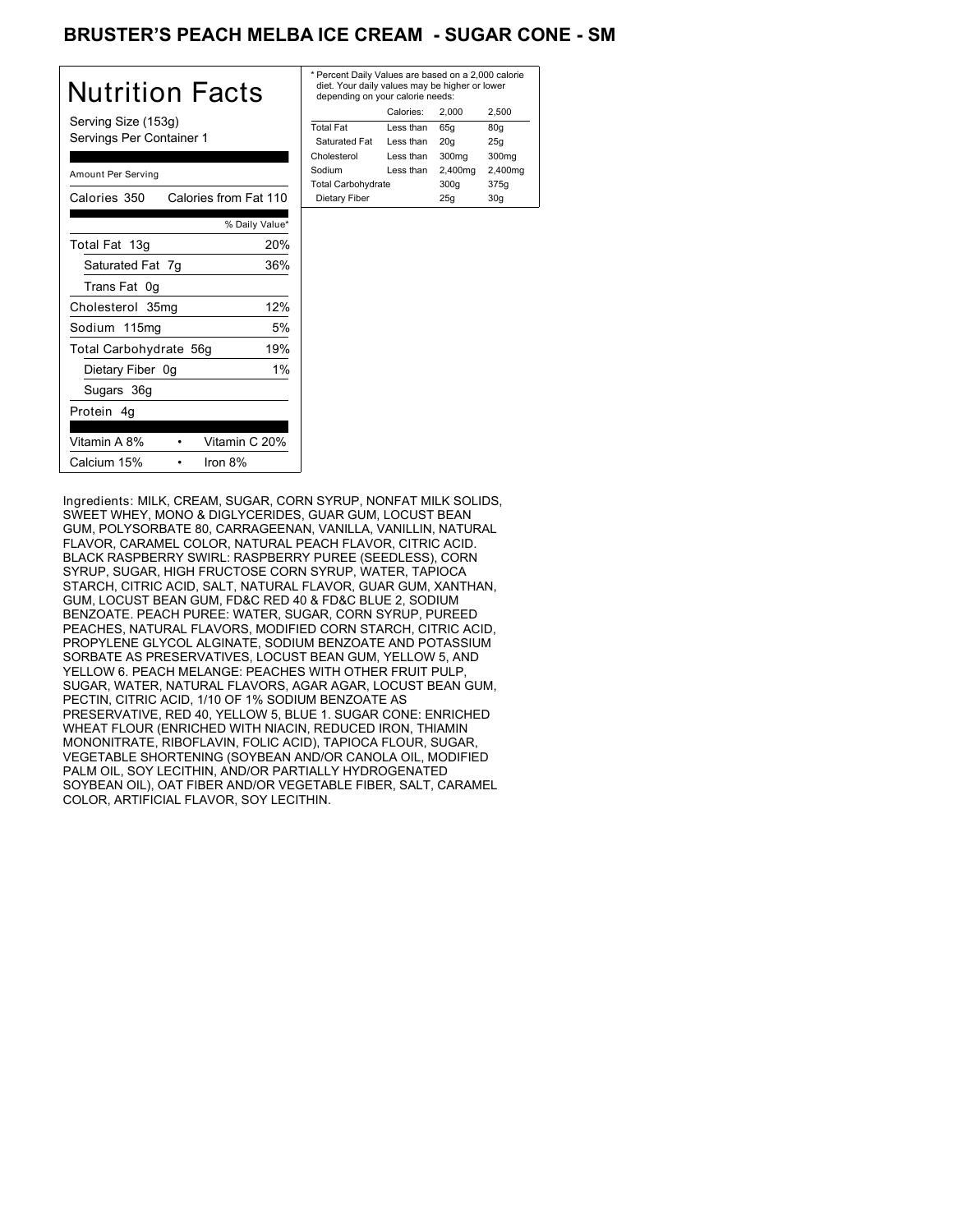### BRUSTER'S PEACH MELBA ICE CREAM - SUGAR CONE - SM

| <b>Nutrition Facts</b>                          | * Per<br>diet.<br>dep  |
|-------------------------------------------------|------------------------|
| Serving Size (153g)<br>Servings Per Container 1 | Total<br>Satu<br>Chole |
| Amount Per Serving                              | Sodiu<br>Total         |
| Calories from Fat 110<br>Calories 350           | Diet                   |
| % Daily Value*                                  |                        |
| 20%<br>Total Fat 13g                            |                        |
| Saturated Fat 7g<br>36%                         |                        |
| Trans Fat 0g                                    |                        |
| 12%<br>Cholesterol 35mg                         |                        |
| 5%<br>Sodium 115mg                              |                        |
| 19%<br>Total Carbohydrate 56g                   |                        |
| 1%<br>Dietary Fiber 0g                          |                        |
| Sugars 36g                                      |                        |
| Protein 4g                                      |                        |
| Vitamin A 8%<br>Vitamin C 20%                   |                        |
| Calcium 15%<br>Iron 8%                          |                        |

| * Percent Daily Values are based on a 2,000 calorie<br>diet. Your daily values may be higher or lower<br>depending on your calorie needs: |           |         |         |  |
|-------------------------------------------------------------------------------------------------------------------------------------------|-----------|---------|---------|--|
|                                                                                                                                           | Calories: | 2.000   | 2.500   |  |
| <b>Total Fat</b>                                                                                                                          | Less than | 65q     | 80g     |  |
| Saturated Fat                                                                                                                             | Less than | 20q     | 25q     |  |
| Cholesterol                                                                                                                               | Less than | 300mg   | 300mg   |  |
| Sodium                                                                                                                                    | Less than | 2,400mg | 2,400mg |  |
| <b>Total Carbohydrate</b>                                                                                                                 |           | 300q    | 375g    |  |
| Dietary Fiber                                                                                                                             |           | 25q     | 30q     |  |
|                                                                                                                                           |           |         |         |  |

Ingredients: MILK, CREAM, SUGAR, CORN SYRUP, NONFAT MILK SOLIDS, SWEET WHEY, MONO & DIGLYCERIDES, GUAR GUM, LOCUST BEAN GUM, POLYSORBATE 80, CARRAGEENAN, VANILLA, VANILLIN, NATURAL FLAVOR, CARAMEL COLOR, NATURAL PEACH FLAVOR, CITRIC ACID. BLACK RASPBERRY SWIRL: RASPBERRY PUREE (SEEDLESS), CORN SYRUP, SUGAR, HIGH FRUCTOSE CORN SYRUP, WATER, TAPIOCA STARCH, CITRIC ACID, SALT, NATURAL FLAVOR, GUAR GUM, XANTHAN, GUM, LOCUST BEAN GUM, FD&C RED 40 & FD&C BLUE 2, SODIUM BENZOATE. PEACH PUREE: WATER, SUGAR, CORN SYRUP, PUREED PEACHES, NATURAL FLAVORS, MODIFIED CORN STARCH, CITRIC ACID, PROPYLENE GLYCOL ALGINATE, SODIUM BENZOATE AND POTASSIUM SORBATE AS PRESERVATIVES, LOCUST BEAN GUM, YELLOW 5, AND YELLOW 6. PEACH MELANGE: PEACHES WITH OTHER FRUIT PULP, SUGAR, WATER, NATURAL FLAVORS, AGAR AGAR, LOCUST BEAN GUM, PECTIN, CITRIC ACID, 1/10 OF 1% SODIUM BENZOATE AS PRESERVATIVE, RED 40, YELLOW 5, BLUE 1. SUGAR CONE: ENRICHED WHEAT FLOUR (ENRICHED WITH NIACIN, REDUCED IRON, THIAMIN MONONITRATE, RIBOFLAVIN, FOLIC ACID), TAPIOCA FLOUR, SUGAR, VEGETABLE SHORTENING (SOYBEAN AND/OR CANOLA OIL, MODIFIED PALM OIL, SOY LECITHIN, AND/OR PARTIALLY HYDROGENATED SOYBEAN OIL), OAT FIBER AND/OR VEGETABLE FIBER, SALT, CARAMEL COLOR, ARTIFICIAL FLAVOR, SOY LECITHIN.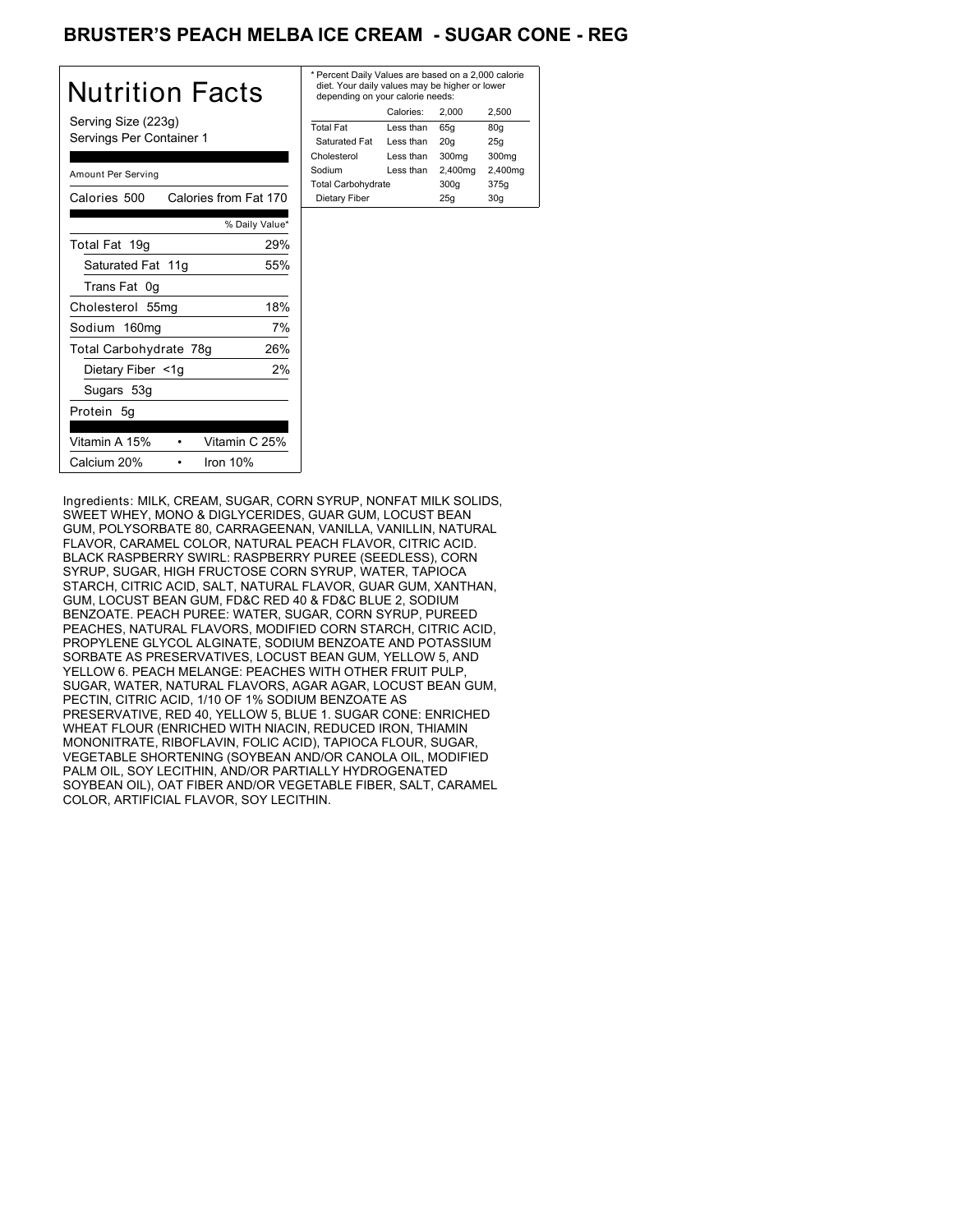### BRUSTER'S PEACH MELBA ICE CREAM - SUGAR CONE - REG

| <b>Nutrition Facts</b>                          | * Per<br>diet<br>dep |
|-------------------------------------------------|----------------------|
| Serving Size (223g)<br>Servings Per Container 1 | Total<br>Sat<br>Chol |
| Amount Per Serving                              | Sodi<br>Total        |
| Calories 500<br>Calories from Fat 170           | Die:                 |
| % Daily Value*                                  |                      |
| 29%<br>Total Fat 19g                            |                      |
| Saturated Fat 11g<br>55%                        |                      |
| Trans Fat 0g                                    |                      |
| 18%<br>Cholesterol 55mg                         |                      |
| Sodium 160mg<br>7%                              |                      |
| 26%<br>Total Carbohydrate 78g                   |                      |
| 2%<br>Dietary Fiber <1g                         |                      |
| Sugars 53g                                      |                      |
| Protein 5q                                      |                      |
| Vitamin A 15%<br>Vitamin C 25%                  |                      |
| Calcium 20%<br>Iron $10%$                       |                      |

| * Percent Daily Values are based on a 2,000 calorie<br>diet. Your daily values may be higher or lower<br>depending on your calorie needs: |                   |         |  |  |
|-------------------------------------------------------------------------------------------------------------------------------------------|-------------------|---------|--|--|
| Calories:                                                                                                                                 | 2.000             | 2.500   |  |  |
| Less than                                                                                                                                 | 65q               | 80q     |  |  |
| Less than                                                                                                                                 | 20q               | 25q     |  |  |
| Less than                                                                                                                                 | 300 <sub>ma</sub> | 300mg   |  |  |
| Less than                                                                                                                                 | 2,400mg           | 2,400mg |  |  |
| <b>Total Carbohydrate</b>                                                                                                                 |                   | 375g    |  |  |
| Dietary Fiber<br>25q<br>30q                                                                                                               |                   |         |  |  |
|                                                                                                                                           |                   | 300q    |  |  |

Ingredients: MILK, CREAM, SUGAR, CORN SYRUP, NONFAT MILK SOLIDS, SWEET WHEY, MONO & DIGLYCERIDES, GUAR GUM, LOCUST BEAN GUM, POLYSORBATE 80, CARRAGEENAN, VANILLA, VANILLIN, NATURAL FLAVOR, CARAMEL COLOR, NATURAL PEACH FLAVOR, CITRIC ACID. BLACK RASPBERRY SWIRL: RASPBERRY PUREE (SEEDLESS), CORN SYRUP, SUGAR, HIGH FRUCTOSE CORN SYRUP, WATER, TAPIOCA STARCH, CITRIC ACID, SALT, NATURAL FLAVOR, GUAR GUM, XANTHAN, GUM, LOCUST BEAN GUM, FD&C RED 40 & FD&C BLUE 2, SODIUM BENZOATE. PEACH PUREE: WATER, SUGAR, CORN SYRUP, PUREED PEACHES, NATURAL FLAVORS, MODIFIED CORN STARCH, CITRIC ACID, PROPYLENE GLYCOL ALGINATE, SODIUM BENZOATE AND POTASSIUM SORBATE AS PRESERVATIVES, LOCUST BEAN GUM, YELLOW 5, AND YELLOW 6. PEACH MELANGE: PEACHES WITH OTHER FRUIT PULP, SUGAR, WATER, NATURAL FLAVORS, AGAR AGAR, LOCUST BEAN GUM, PECTIN, CITRIC ACID, 1/10 OF 1% SODIUM BENZOATE AS PRESERVATIVE, RED 40, YELLOW 5, BLUE 1. SUGAR CONE: ENRICHED WHEAT FLOUR (ENRICHED WITH NIACIN, REDUCED IRON, THIAMIN MONONITRATE, RIBOFLAVIN, FOLIC ACID), TAPIOCA FLOUR, SUGAR, VEGETABLE SHORTENING (SOYBEAN AND/OR CANOLA OIL, MODIFIED PALM OIL, SOY LECITHIN, AND/OR PARTIALLY HYDROGENATED SOYBEAN OIL), OAT FIBER AND/OR VEGETABLE FIBER, SALT, CARAMEL COLOR, ARTIFICIAL FLAVOR, SOY LECITHIN.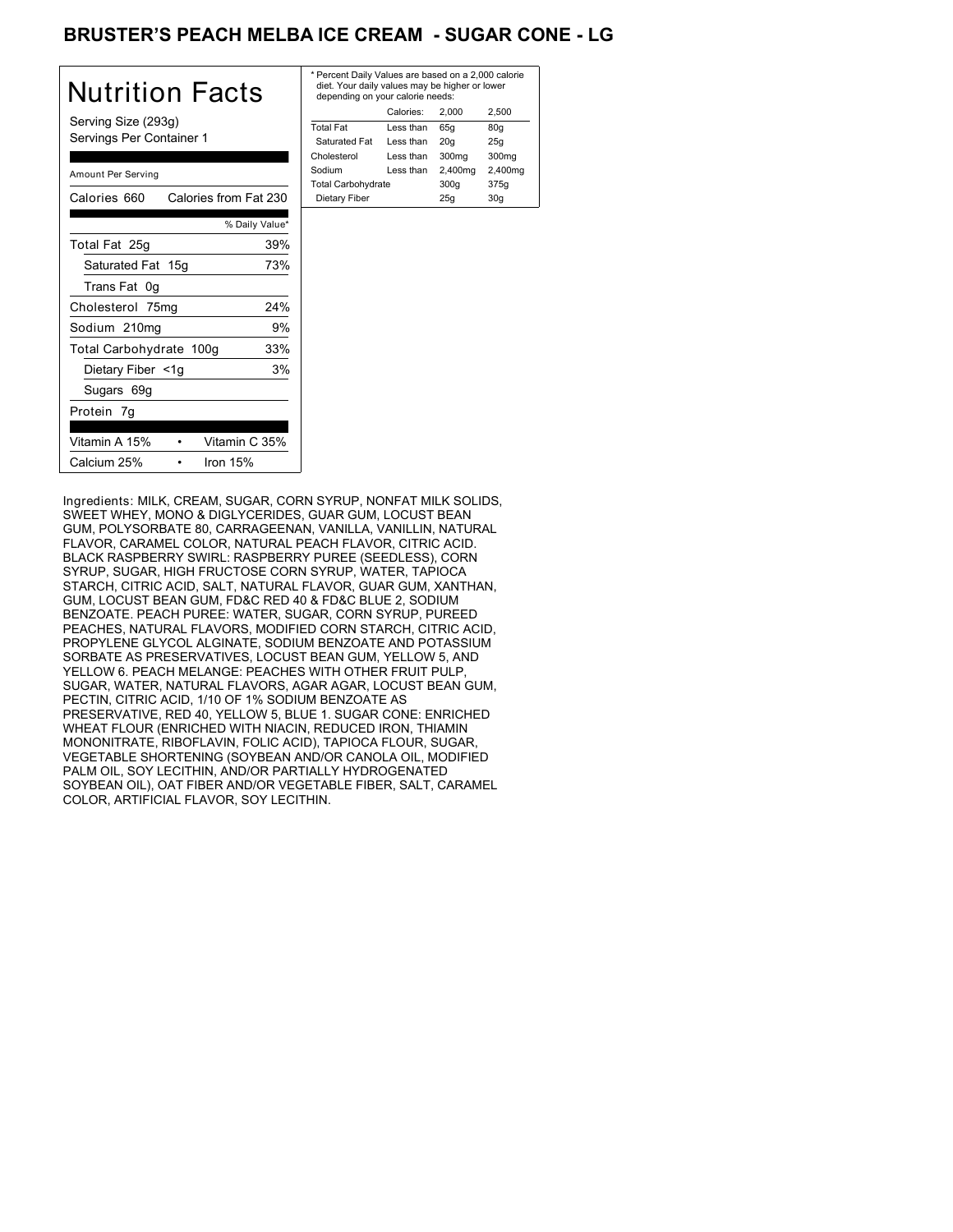### BRUSTER'S PEACH MELBA ICE CREAM - SUGAR CONE - LG

| Nutrition Facts                                 | * Pe<br>die<br>de |
|-------------------------------------------------|-------------------|
| Serving Size (293g)<br>Servings Per Container 1 | Tota<br>Sa<br>Chc |
| Amount Per Serving                              | Sod<br>Tota       |
| Calories 660<br>Calories from Fat 230           | D <sub>i</sub>    |
| % Daily Value*                                  |                   |
| 39%<br>Total Fat 25g                            |                   |
| 73%<br>Saturated Fat 15g                        |                   |
| Trans Fat 0g                                    |                   |
| 24%<br>Cholesterol 75mg                         |                   |
| Sodium 210mg<br>9%                              |                   |
| 33%<br>Total Carbohydrate 100g                  |                   |
| 3%<br>Dietary Fiber <1g                         |                   |
| Sugars 69g                                      |                   |
| Protein 7g                                      |                   |
| Vitamin A 15%<br>Vitamin C 35%                  |                   |
| Calcium 25%<br>Iron $15%$                       |                   |

| * Percent Daily Values are based on a 2,000 calorie<br>diet. Your daily values may be higher or lower<br>depending on your calorie needs: |         |         |  |  |
|-------------------------------------------------------------------------------------------------------------------------------------------|---------|---------|--|--|
| Calories:                                                                                                                                 | 2.000   | 2.500   |  |  |
| Less than                                                                                                                                 | 65q     | 80q     |  |  |
| Less than                                                                                                                                 | 20q     | 25q     |  |  |
| I ess than                                                                                                                                | 300mg   | 300mg   |  |  |
| Less than                                                                                                                                 | 2,400mg | 2,400mg |  |  |
| <b>Total Carbohydrate</b>                                                                                                                 |         | 375g    |  |  |
|                                                                                                                                           | 25q     | 30q     |  |  |
|                                                                                                                                           |         | 300q    |  |  |

Ingredients: MILK, CREAM, SUGAR, CORN SYRUP, NONFAT MILK SOLIDS, SWEET WHEY, MONO & DIGLYCERIDES, GUAR GUM, LOCUST BEAN GUM, POLYSORBATE 80, CARRAGEENAN, VANILLA, VANILLIN, NATURAL FLAVOR, CARAMEL COLOR, NATURAL PEACH FLAVOR, CITRIC ACID. BLACK RASPBERRY SWIRL: RASPBERRY PUREE (SEEDLESS), CORN SYRUP, SUGAR, HIGH FRUCTOSE CORN SYRUP, WATER, TAPIOCA STARCH, CITRIC ACID, SALT, NATURAL FLAVOR, GUAR GUM, XANTHAN, GUM, LOCUST BEAN GUM, FD&C RED 40 & FD&C BLUE 2, SODIUM BENZOATE. PEACH PUREE: WATER, SUGAR, CORN SYRUP, PUREED PEACHES, NATURAL FLAVORS, MODIFIED CORN STARCH, CITRIC ACID, PROPYLENE GLYCOL ALGINATE, SODIUM BENZOATE AND POTASSIUM SORBATE AS PRESERVATIVES, LOCUST BEAN GUM, YELLOW 5, AND YELLOW 6. PEACH MELANGE: PEACHES WITH OTHER FRUIT PULP, SUGAR, WATER, NATURAL FLAVORS, AGAR AGAR, LOCUST BEAN GUM, PECTIN, CITRIC ACID, 1/10 OF 1% SODIUM BENZOATE AS PRESERVATIVE, RED 40, YELLOW 5, BLUE 1. SUGAR CONE: ENRICHED WHEAT FLOUR (ENRICHED WITH NIACIN, REDUCED IRON, THIAMIN MONONITRATE, RIBOFLAVIN, FOLIC ACID), TAPIOCA FLOUR, SUGAR, VEGETABLE SHORTENING (SOYBEAN AND/OR CANOLA OIL, MODIFIED PALM OIL, SOY LECITHIN, AND/OR PARTIALLY HYDROGENATED SOYBEAN OIL), OAT FIBER AND/OR VEGETABLE FIBER, SALT, CARAMEL COLOR, ARTIFICIAL FLAVOR, SOY LECITHIN.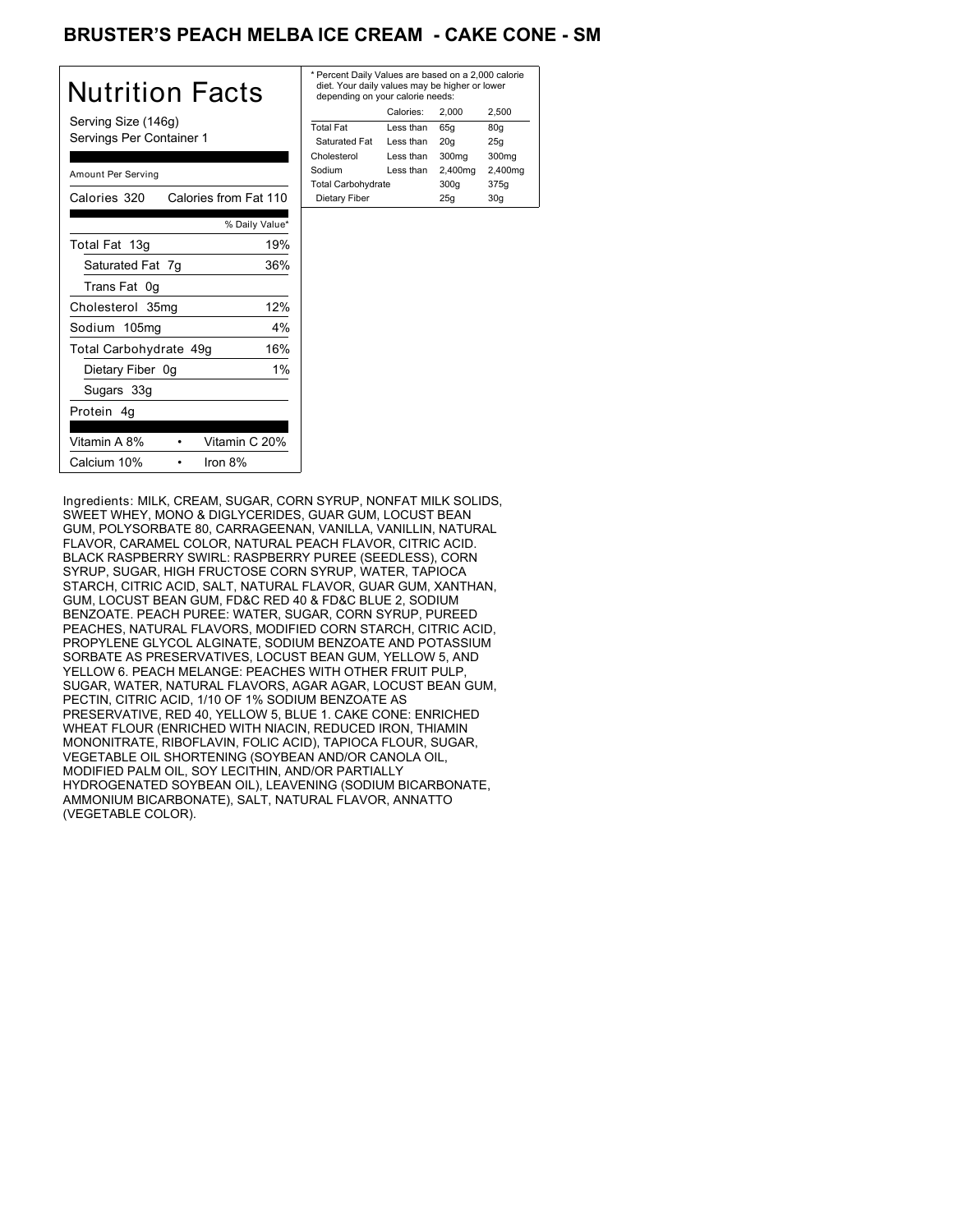### BRUSTER'S PEACH MELBA ICE CREAM - CAKE CONE - SM

| Nutrition Facts                                 | * Perd<br>diet.<br>dep |
|-------------------------------------------------|------------------------|
| Serving Size (146g)<br>Servings Per Container 1 | Total<br>Satu<br>Chole |
| Amount Per Serving                              | Sodiu<br>Total         |
| Calories from Fat 110<br>Calories 320           | Dieta                  |
| % Daily Value*                                  |                        |
| 19%<br>Total Fat 13g                            |                        |
| Saturated Fat 7g<br>36%                         |                        |
| Trans Fat 0g                                    |                        |
| 12%<br>Cholesterol 35mg                         |                        |
| Sodium 105mg<br>$4\%$                           |                        |
| 16%<br>Total Carbohydrate 49g                   |                        |
| 1%<br>Dietary Fiber 0g                          |                        |
| Sugars 33g                                      |                        |
| Protein 4q                                      |                        |
| Vitamin A 8%<br>Vitamin C 20%                   |                        |
| Calcium 10%<br>Iron 8%                          |                        |

| * Percent Daily Values are based on a 2,000 calorie<br>diet. Your daily values may be higher or lower<br>depending on your calorie needs: |           |         |                   |  |
|-------------------------------------------------------------------------------------------------------------------------------------------|-----------|---------|-------------------|--|
|                                                                                                                                           | Calories: | 2.000   | 2.500             |  |
| <b>Total Fat</b>                                                                                                                          | Less than | 65q     | 80q               |  |
| Saturated Fat                                                                                                                             | Less than | 20q     | 25q               |  |
| Cholesterol                                                                                                                               | Less than | 300mg   | 300 <sub>mq</sub> |  |
| Sodium                                                                                                                                    | Less than | 2,400mg | 2,400mg           |  |
| <b>Total Carbohydrate</b>                                                                                                                 |           | 300q    | 375g              |  |
| Dietary Fiber                                                                                                                             |           | 25q     | 30q               |  |
|                                                                                                                                           |           |         |                   |  |

Ingredients: MILK, CREAM, SUGAR, CORN SYRUP, NONFAT MILK SOLIDS, SWEET WHEY, MONO & DIGLYCERIDES, GUAR GUM, LOCUST BEAN GUM, POLYSORBATE 80, CARRAGEENAN, VANILLA, VANILLIN, NATURAL FLAVOR, CARAMEL COLOR, NATURAL PEACH FLAVOR, CITRIC ACID. BLACK RASPBERRY SWIRL: RASPBERRY PUREE (SEEDLESS), CORN SYRUP, SUGAR, HIGH FRUCTOSE CORN SYRUP, WATER, TAPIOCA STARCH, CITRIC ACID, SALT, NATURAL FLAVOR, GUAR GUM, XANTHAN, GUM, LOCUST BEAN GUM, FD&C RED 40 & FD&C BLUE 2, SODIUM BENZOATE. PEACH PUREE: WATER, SUGAR, CORN SYRUP, PUREED PEACHES, NATURAL FLAVORS, MODIFIED CORN STARCH, CITRIC ACID, PROPYLENE GLYCOL ALGINATE, SODIUM BENZOATE AND POTASSIUM SORBATE AS PRESERVATIVES, LOCUST BEAN GUM, YELLOW 5, AND YELLOW 6. PEACH MELANGE: PEACHES WITH OTHER FRUIT PULP, SUGAR, WATER, NATURAL FLAVORS, AGAR AGAR, LOCUST BEAN GUM, PECTIN, CITRIC ACID, 1/10 OF 1% SODIUM BENZOATE AS PRESERVATIVE, RED 40, YELLOW 5, BLUE 1. CAKE CONE: ENRICHED WHEAT FLOUR (ENRICHED WITH NIACIN, REDUCED IRON, THIAMIN MONONITRATE, RIBOFLAVIN, FOLIC ACID), TAPIOCA FLOUR, SUGAR, VEGETABLE OIL SHORTENING (SOYBEAN AND/OR CANOLA OIL, MODIFIED PALM OIL, SOY LECITHIN, AND/OR PARTIALLY HYDROGENATED SOYBEAN OIL), LEAVENING (SODIUM BICARBONATE, AMMONIUM BICARBONATE), SALT, NATURAL FLAVOR, ANNATTO (VEGETABLE COLOR).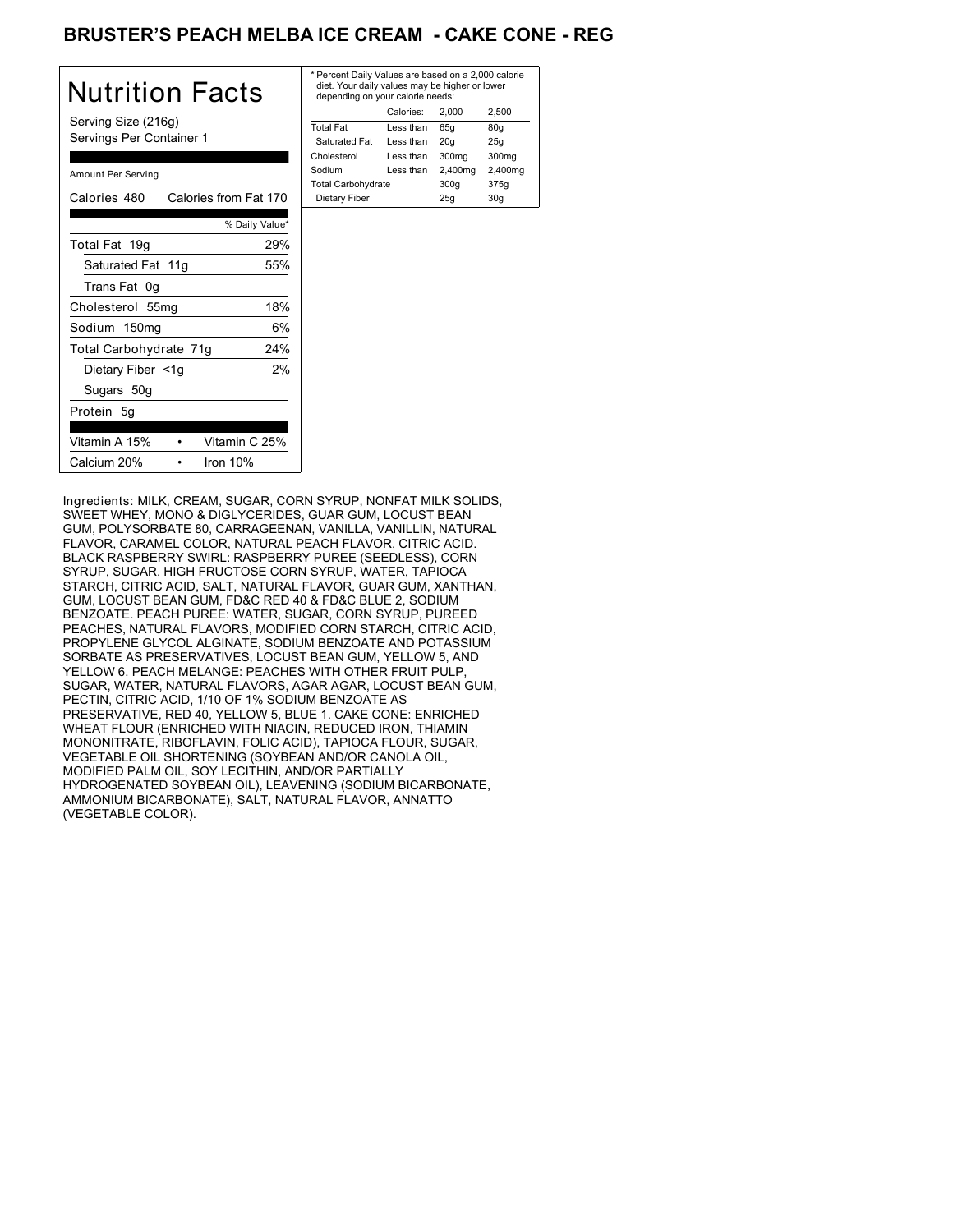### BRUSTER'S PEACH MELBA ICE CREAM - CAKE CONE - REG

| Nutrition Facts                                 | * Per<br>die <sup>®</sup><br>der |
|-------------------------------------------------|----------------------------------|
| Serving Size (216g)<br>Servings Per Container 1 | Tota<br>Sat<br>Chol              |
| Amount Per Serving                              | Sodi<br>Tota                     |
| Calories from Fat 170<br>Calories 480           | Die                              |
| % Daily Value*                                  |                                  |
| 29%<br>Total Fat 19g                            |                                  |
| Saturated Fat 11g<br>55%                        |                                  |
| Trans Fat 0g                                    |                                  |
| 18%<br>Cholesterol 55mg                         |                                  |
| 6%<br>Sodium 150mg                              |                                  |
| Total Carbohydrate 71g<br>24%                   |                                  |
| 2%<br>Dietary Fiber <1g                         |                                  |
| Sugars 50g                                      |                                  |
| Protein 5q                                      |                                  |
| Vitamin A 15%<br>Vitamin C 25%                  |                                  |
| Calcium 20%<br>Iron $10%$                       |                                  |

| * Percent Daily Values are based on a 2,000 calorie<br>diet. Your daily values may be higher or lower<br>depending on your calorie needs: |           |         |                   |  |
|-------------------------------------------------------------------------------------------------------------------------------------------|-----------|---------|-------------------|--|
|                                                                                                                                           | Calories: | 2.000   | 2.500             |  |
| <b>Total Fat</b>                                                                                                                          | Less than | 65q     | 80q               |  |
| Saturated Fat                                                                                                                             | Less than | 20q     | 25q               |  |
| Cholesterol                                                                                                                               | Less than | 300mg   | 300 <sub>mq</sub> |  |
| Sodium                                                                                                                                    | Less than | 2,400mg | 2,400mg           |  |
| <b>Total Carbohydrate</b>                                                                                                                 |           | 300q    | 375g              |  |
| Dietary Fiber                                                                                                                             |           | 25q     | 30q               |  |
|                                                                                                                                           |           |         |                   |  |

Ingredients: MILK, CREAM, SUGAR, CORN SYRUP, NONFAT MILK SOLIDS, SWEET WHEY, MONO & DIGLYCERIDES, GUAR GUM, LOCUST BEAN GUM, POLYSORBATE 80, CARRAGEENAN, VANILLA, VANILLIN, NATURAL FLAVOR, CARAMEL COLOR, NATURAL PEACH FLAVOR, CITRIC ACID. BLACK RASPBERRY SWIRL: RASPBERRY PUREE (SEEDLESS), CORN SYRUP, SUGAR, HIGH FRUCTOSE CORN SYRUP, WATER, TAPIOCA STARCH, CITRIC ACID, SALT, NATURAL FLAVOR, GUAR GUM, XANTHAN, GUM, LOCUST BEAN GUM, FD&C RED 40 & FD&C BLUE 2, SODIUM BENZOATE. PEACH PUREE: WATER, SUGAR, CORN SYRUP, PUREED PEACHES, NATURAL FLAVORS, MODIFIED CORN STARCH, CITRIC ACID, PROPYLENE GLYCOL ALGINATE, SODIUM BENZOATE AND POTASSIUM SORBATE AS PRESERVATIVES, LOCUST BEAN GUM, YELLOW 5, AND YELLOW 6. PEACH MELANGE: PEACHES WITH OTHER FRUIT PULP, SUGAR, WATER, NATURAL FLAVORS, AGAR AGAR, LOCUST BEAN GUM, PECTIN, CITRIC ACID, 1/10 OF 1% SODIUM BENZOATE AS PRESERVATIVE, RED 40, YELLOW 5, BLUE 1. CAKE CONE: ENRICHED WHEAT FLOUR (ENRICHED WITH NIACIN, REDUCED IRON, THIAMIN MONONITRATE, RIBOFLAVIN, FOLIC ACID), TAPIOCA FLOUR, SUGAR, VEGETABLE OIL SHORTENING (SOYBEAN AND/OR CANOLA OIL, MODIFIED PALM OIL, SOY LECITHIN, AND/OR PARTIALLY HYDROGENATED SOYBEAN OIL), LEAVENING (SODIUM BICARBONATE, AMMONIUM BICARBONATE), SALT, NATURAL FLAVOR, ANNATTO (VEGETABLE COLOR).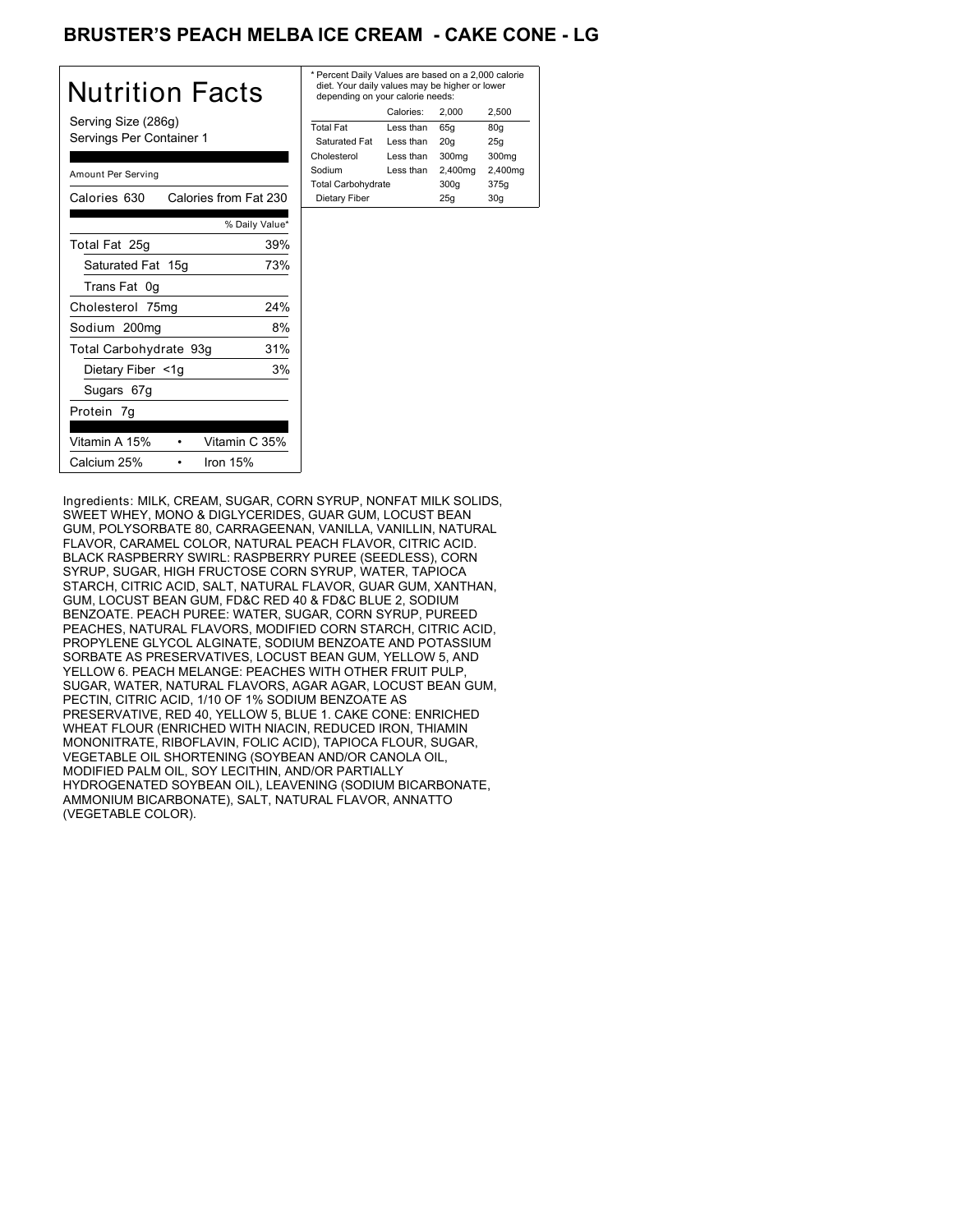### **BRUSTER'S PEACH MELBA ICE CREAM - CAKE CONE - LG**

| Nutrition Facts                                 | * Pe<br>die<br>de |
|-------------------------------------------------|-------------------|
| Serving Size (286g)<br>Servings Per Container 1 | Tota<br>Sa<br>Cho |
| Amount Per Serving                              | Sod<br>Tota       |
| Calories 630<br>Calories from Fat 230           | Die               |
| % Daily Value*                                  |                   |
| 39%<br>Total Fat 25g                            |                   |
| 73%<br>Saturated Fat 15g                        |                   |
| Trans Fat 0g                                    |                   |
| 24%<br>Cholesterol 75mg                         |                   |
| Sodium 200mg<br>8%                              |                   |
| 31%<br>Total Carbohydrate 93g                   |                   |
| Dietary Fiber <1g<br>3%                         |                   |
| Sugars 67g                                      |                   |
| Protein 7g                                      |                   |
| Vitamin A 15%<br>Vitamin C 35%                  |                   |
| Calcium 25%<br>Iron 15%                         |                   |

| Calories:<br>2.500<br>2.000<br><b>Total Fat</b><br>Less than<br>80q<br>65q<br>Saturated Fat<br>20q<br>Less than<br>25q<br>300mg<br>300mg<br>Cholesterol<br>Less than<br>2,400mg<br>2,400mg<br>Sodium<br>Less than<br><b>Total Carbohydrate</b><br>300q<br>375g | * Percent Daily Values are based on a 2,000 calorie<br>diet. Your daily values may be higher or lower<br>depending on your calorie needs: |  |     |     |  |
|----------------------------------------------------------------------------------------------------------------------------------------------------------------------------------------------------------------------------------------------------------------|-------------------------------------------------------------------------------------------------------------------------------------------|--|-----|-----|--|
|                                                                                                                                                                                                                                                                |                                                                                                                                           |  |     |     |  |
|                                                                                                                                                                                                                                                                |                                                                                                                                           |  |     |     |  |
|                                                                                                                                                                                                                                                                |                                                                                                                                           |  |     |     |  |
|                                                                                                                                                                                                                                                                |                                                                                                                                           |  |     |     |  |
|                                                                                                                                                                                                                                                                |                                                                                                                                           |  |     |     |  |
|                                                                                                                                                                                                                                                                |                                                                                                                                           |  |     |     |  |
|                                                                                                                                                                                                                                                                | Dietary Fiber                                                                                                                             |  | 25q | 30q |  |

Ingredients: MILK, CREAM, SUGAR, CORN SYRUP, NONFAT MILK SOLIDS, SWEET WHEY, MONO & DIGLYCERIDES, GUAR GUM, LOCUST BEAN GUM, POLYSORBATE 80, CARRAGEENAN, VANILLA, VANILLIN, NATURAL FLAVOR, CARAMEL COLOR, NATURAL PEACH FLAVOR, CITRIC ACID. BLACK RASPBERRY SWIRL: RASPBERRY PUREE (SEEDLESS), CORN SYRUP, SUGAR, HIGH FRUCTOSE CORN SYRUP, WATER, TAPIOCA STARCH, CITRIC ACID, SALT, NATURAL FLAVOR, GUAR GUM, XANTHAN, GUM, LOCUST BEAN GUM, FD&C RED 40 & FD&C BLUE 2, SODIUM BENZOATE. PEACH PUREE: WATER, SUGAR, CORN SYRUP, PUREED PEACHES, NATURAL FLAVORS, MODIFIED CORN STARCH, CITRIC ACID, PROPYLENE GLYCOL ALGINATE, SODIUM BENZOATE AND POTASSIUM SORBATE AS PRESERVATIVES, LOCUST BEAN GUM, YELLOW 5, AND YELLOW 6. PEACH MELANGE: PEACHES WITH OTHER FRUIT PULP, SUGAR, WATER, NATURAL FLAVORS, AGAR AGAR, LOCUST BEAN GUM, PECTIN, CITRIC ACID, 1/10 OF 1% SODIUM BENZOATE AS PRESERVATIVE, RED 40, YELLOW 5, BLUE 1. CAKE CONE: ENRICHED WHEAT FLOUR (ENRICHED WITH NIACIN, REDUCED IRON, THIAMIN MONONITRATE, RIBOFLAVIN, FOLIC ACID), TAPIOCA FLOUR, SUGAR, VEGETABLE OIL SHORTENING (SOYBEAN AND/OR CANOLA OIL, MODIFIED PALM OIL, SOY LECITHIN, AND/OR PARTIALLY HYDROGENATED SOYBEAN OIL), LEAVENING (SODIUM BICARBONATE, AMMONIUM BICARBONATE), SALT, NATURAL FLAVOR, ANNATTO (VEGETABLE COLOR).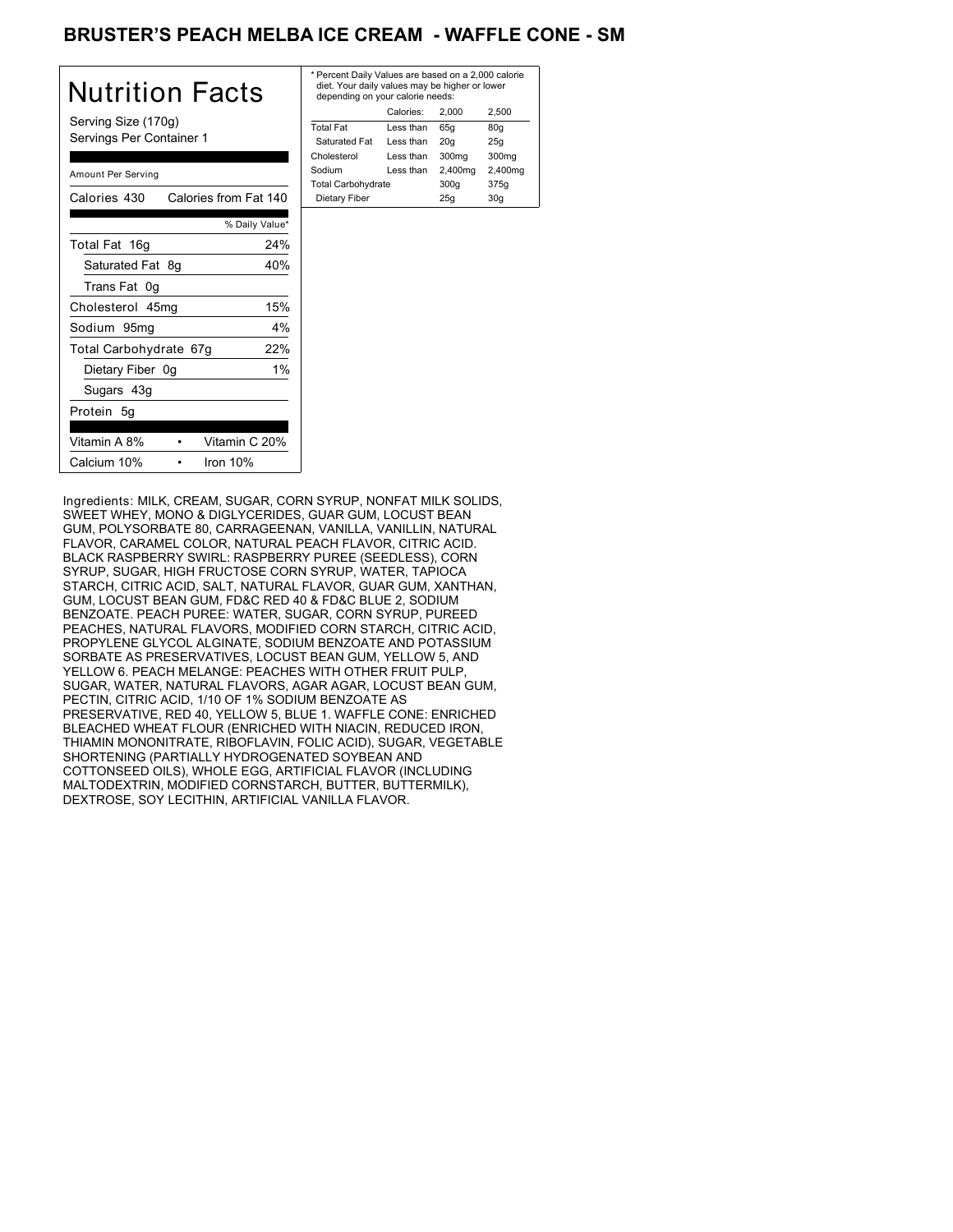### BRUSTER'S PEACH MELBA ICE CREAM - WAFFLE CONE - SM

| Nutrition Facts                                 | * Perce<br>diet. Y<br>deper |
|-------------------------------------------------|-----------------------------|
| Serving Size (170g)<br>Servings Per Container 1 | Total F<br>Satura           |
| Amount Per Serving                              | Choles<br>Sodium<br>Total C |
| Calories from Fat 140<br>Calories 430           | Dietar                      |
| % Daily Value*                                  |                             |
| 24%<br>Total Fat 16g                            |                             |
| Saturated Fat 8q<br>40%                         |                             |
| Trans Fat 0g                                    |                             |
| 15%<br>Cholesterol 45mg                         |                             |
| 4%<br>Sodium 95mq                               |                             |
| 22%<br>Total Carbohydrate 67g                   |                             |
| 1%<br>Dietary Fiber 0g                          |                             |
| Sugars 43g                                      |                             |
| Protein 5g                                      |                             |
| Vitamin C 20%<br>Vitamin A 8%                   |                             |
| Calcium 10%<br>Iron $10%$                       |                             |

| * Percent Daily Values are based on a 2,000 calorie<br>diet. Your daily values may be higher or lower<br>depending on your calorie needs: |           |         |         |
|-------------------------------------------------------------------------------------------------------------------------------------------|-----------|---------|---------|
|                                                                                                                                           | Calories: | 2.000   | 2.500   |
| <b>Total Fat</b>                                                                                                                          | Less than | 65q     | 80q     |
| Saturated Fat                                                                                                                             | Less than | 20q     | 25q     |
| Cholesterol                                                                                                                               | Less than | 300mg   | 300mg   |
| Sodium                                                                                                                                    | Less than | 2,400mg | 2,400mg |
| <b>Total Carbohydrate</b>                                                                                                                 |           | 300q    | 375g    |
| Dietary Fiber                                                                                                                             |           | 25q     | 30q     |

Ingredients: MILK, CREAM, SUGAR, CORN SYRUP, NONFAT MILK SOLIDS, SWEET WHEY, MONO & DIGLYCERIDES, GUAR GUM, LOCUST BEAN GUM, POLYSORBATE 80, CARRAGEENAN, VANILLA, VANILLIN, NATURAL FLAVOR, CARAMEL COLOR, NATURAL PEACH FLAVOR, CITRIC ACID. BLACK RASPBERRY SWIRL: RASPBERRY PUREE (SEEDLESS), CORN SYRUP, SUGAR, HIGH FRUCTOSE CORN SYRUP, WATER, TAPIOCA STARCH, CITRIC ACID, SALT, NATURAL FLAVOR, GUAR GUM, XANTHAN, GUM, LOCUST BEAN GUM, FD&C RED 40 & FD&C BLUE 2, SODIUM BENZOATE. PEACH PUREE: WATER, SUGAR, CORN SYRUP, PUREED PEACHES, NATURAL FLAVORS, MODIFIED CORN STARCH, CITRIC ACID, PROPYLENE GLYCOL ALGINATE, SODIUM BENZOATE AND POTASSIUM SORBATE AS PRESERVATIVES, LOCUST BEAN GUM, YELLOW 5, AND YELLOW 6. PEACH MELANGE: PEACHES WITH OTHER FRUIT PULP, SUGAR, WATER, NATURAL FLAVORS, AGAR AGAR, LOCUST BEAN GUM, PECTIN, CITRIC ACID, 1/10 OF 1% SODIUM BENZOATE AS PRESERVATIVE, RED 40, YELLOW 5, BLUE 1. WAFFLE CONE: ENRICHED BLEACHED WHEAT FLOUR (ENRICHED WITH NIACIN, REDUCED IRON, THIAMIN MONONITRATE, RIBOFLAVIN, FOLIC ACID), SUGAR, VEGETABLE SHORTENING (PARTIALLY HYDROGENATED SOYBEAN AND COTTONSEED OILS), WHOLE EGG, ARTIFICIAL FLAVOR (INCLUDING MALTODEXTRIN, MODIFIED CORNSTARCH, BUTTER, BUTTERMILK), DEXTROSE, SOY LECITHIN, ARTIFICIAL VANILLA FLAVOR.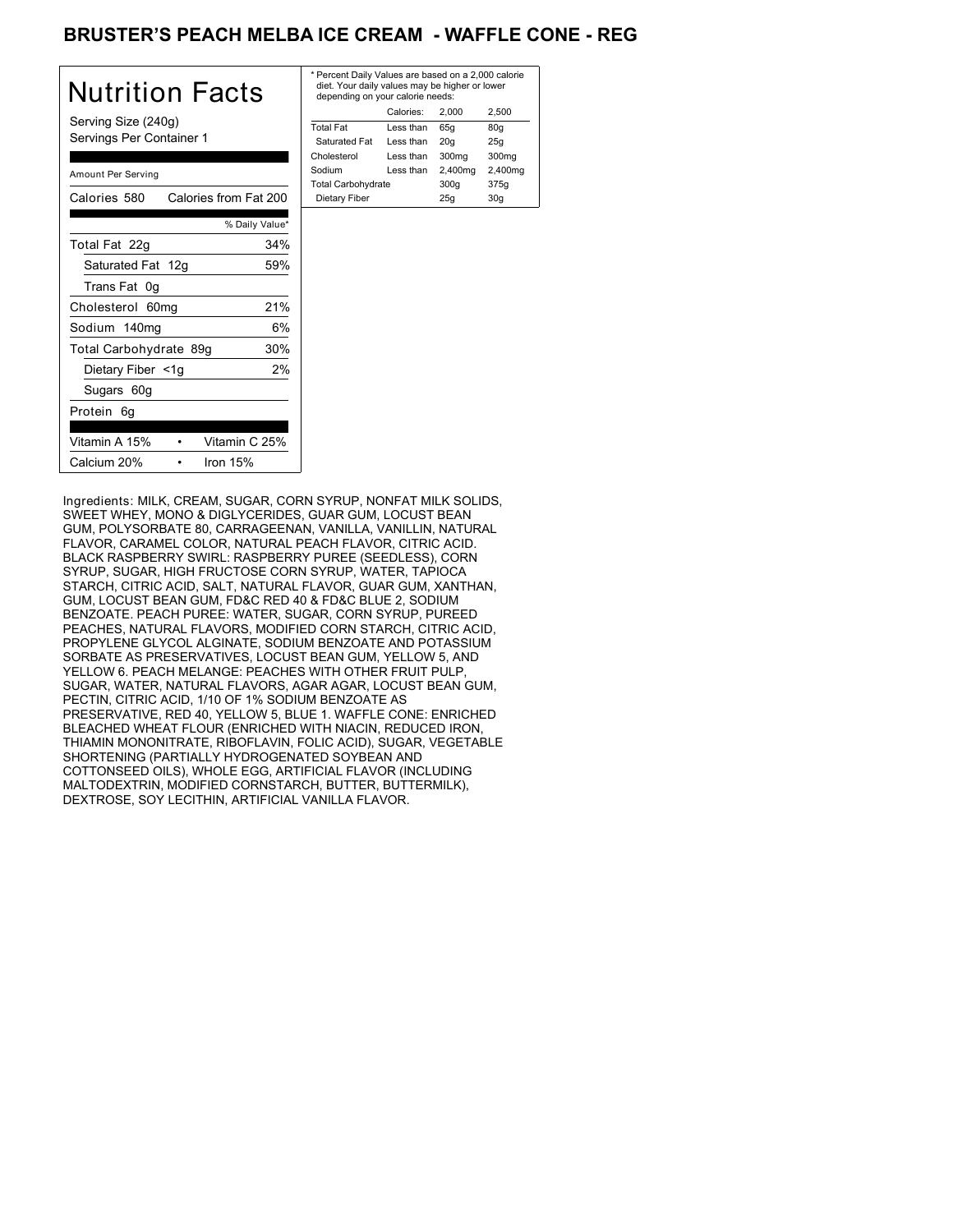### BRUSTER'S PEACH MELBA ICE CREAM - WAFFLE CONE - REG

| Nutrition Facts                                 | * Per<br>diet<br>dep |
|-------------------------------------------------|----------------------|
| Serving Size (240g)<br>Servings Per Container 1 | Total<br>Sat<br>Chol |
| Amount Per Serving                              | Sodi<br>Total        |
| Calories from Fat 200<br>Calories 580           | <b>Die</b>           |
| % Daily Value*                                  |                      |
| 34%<br>Total Fat 22g                            |                      |
| Saturated Fat 12g<br>59%                        |                      |
| Trans Fat 0g                                    |                      |
| 21%<br>Cholesterol 60mg                         |                      |
| Sodium 140mg<br>6%                              |                      |
| 30%<br>Total Carbohydrate 89g                   |                      |
| 2%<br>Dietary Fiber <1g                         |                      |
| Sugars 60g                                      |                      |
| Protein 6g                                      |                      |
| Vitamin A 15%<br>Vitamin C 25%                  |                      |
| Calcium 20%<br>Iron $15%$                       |                      |

| * Percent Daily Values are based on a 2,000 calorie<br>diet. Your daily values may be higher or lower<br>depending on your calorie needs: |           |                   |         |
|-------------------------------------------------------------------------------------------------------------------------------------------|-----------|-------------------|---------|
|                                                                                                                                           | Calories: | 2.000             | 2.500   |
| <b>Total Fat</b>                                                                                                                          | Less than | 65q               | 80q     |
| Saturated Fat                                                                                                                             | Less than | 20q               | 25q     |
| Cholesterol                                                                                                                               | Less than | 300 <sub>mg</sub> | 300mg   |
| Sodium                                                                                                                                    | Less than | 2,400mg           | 2,400mg |
| <b>Total Carbohydrate</b>                                                                                                                 |           | 300q              | 375g    |
| Dietary Fiber                                                                                                                             |           | 25q               | 30q     |

Ingredients: MILK, CREAM, SUGAR, CORN SYRUP, NONFAT MILK SOLIDS, SWEET WHEY, MONO & DIGLYCERIDES, GUAR GUM, LOCUST BEAN GUM, POLYSORBATE 80, CARRAGEENAN, VANILLA, VANILLIN, NATURAL FLAVOR, CARAMEL COLOR, NATURAL PEACH FLAVOR, CITRIC ACID. BLACK RASPBERRY SWIRL: RASPBERRY PUREE (SEEDLESS), CORN SYRUP, SUGAR, HIGH FRUCTOSE CORN SYRUP, WATER, TAPIOCA STARCH, CITRIC ACID, SALT, NATURAL FLAVOR, GUAR GUM, XANTHAN, GUM, LOCUST BEAN GUM, FD&C RED 40 & FD&C BLUE 2, SODIUM BENZOATE. PEACH PUREE: WATER, SUGAR, CORN SYRUP, PUREED PEACHES, NATURAL FLAVORS, MODIFIED CORN STARCH, CITRIC ACID, PROPYLENE GLYCOL ALGINATE, SODIUM BENZOATE AND POTASSIUM SORBATE AS PRESERVATIVES, LOCUST BEAN GUM, YELLOW 5, AND YELLOW 6. PEACH MELANGE: PEACHES WITH OTHER FRUIT PULP, SUGAR, WATER, NATURAL FLAVORS, AGAR AGAR, LOCUST BEAN GUM, PECTIN, CITRIC ACID, 1/10 OF 1% SODIUM BENZOATE AS PRESERVATIVE, RED 40, YELLOW 5, BLUE 1. WAFFLE CONE: ENRICHED BLEACHED WHEAT FLOUR (ENRICHED WITH NIACIN, REDUCED IRON, THIAMIN MONONITRATE, RIBOFLAVIN, FOLIC ACID), SUGAR, VEGETABLE SHORTENING (PARTIALLY HYDROGENATED SOYBEAN AND COTTONSEED OILS), WHOLE EGG, ARTIFICIAL FLAVOR (INCLUDING MALTODEXTRIN, MODIFIED CORNSTARCH, BUTTER, BUTTERMILK), DEXTROSE, SOY LECITHIN, ARTIFICIAL VANILLA FLAVOR.